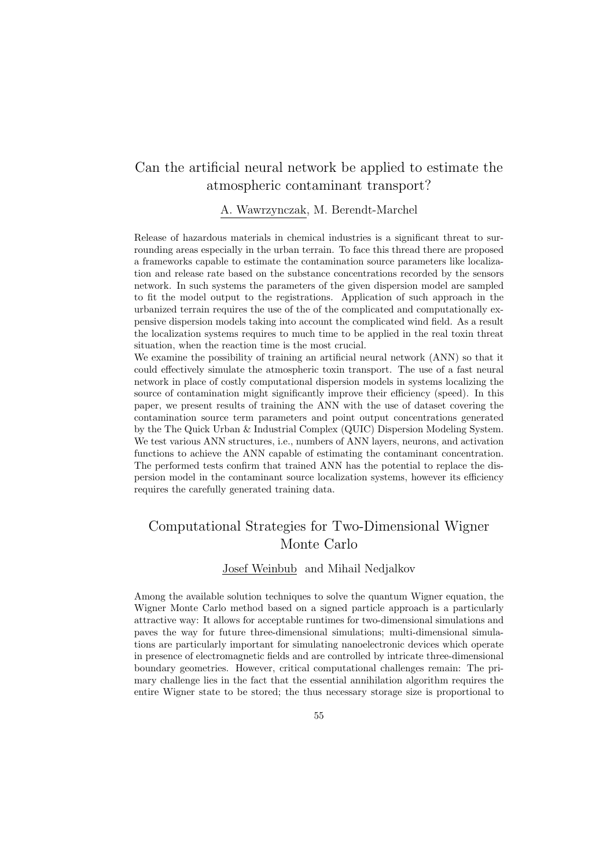### Can the artificial neural network be applied to estimate the atmospheric contaminant transport?

### A. Wawrzynczak, M. Berendt-Marchel

Release of hazardous materials in chemical industries is a significant threat to surrounding areas especially in the urban terrain. To face this thread there are proposed a frameworks capable to estimate the contamination source parameters like localization and release rate based on the substance concentrations recorded by the sensors network. In such systems the parameters of the given dispersion model are sampled to fit the model output to the registrations. Application of such approach in the urbanized terrain requires the use of the of the complicated and computationally expensive dispersion models taking into account the complicated wind field. As a result the localization systems requires to much time to be applied in the real toxin threat situation, when the reaction time is the most crucial.

We examine the possibility of training an artificial neural network (ANN) so that it could effectively simulate the atmospheric toxin transport. The use of a fast neural network in place of costly computational dispersion models in systems localizing the source of contamination might significantly improve their efficiency (speed). In this paper, we present results of training the ANN with the use of dataset covering the contamination source term parameters and point output concentrations generated by the The Quick Urban & Industrial Complex (QUIC) Dispersion Modeling System. We test various ANN structures, i.e., numbers of ANN layers, neurons, and activation functions to achieve the ANN capable of estimating the contaminant concentration. The performed tests confirm that trained ANN has the potential to replace the dispersion model in the contaminant source localization systems, however its efficiency requires the carefully generated training data.

## Computational Strategies for Two-Dimensional Wigner Monte Carlo

### Josef Weinbub and Mihail Nedjalkov

Among the available solution techniques to solve the quantum Wigner equation, the Wigner Monte Carlo method based on a signed particle approach is a particularly attractive way: It allows for acceptable runtimes for two-dimensional simulations and paves the way for future three-dimensional simulations; multi-dimensional simulations are particularly important for simulating nanoelectronic devices which operate in presence of electromagnetic fields and are controlled by intricate three-dimensional boundary geometries. However, critical computational challenges remain: The primary challenge lies in the fact that the essential annihilation algorithm requires the entire Wigner state to be stored; the thus necessary storage size is proportional to